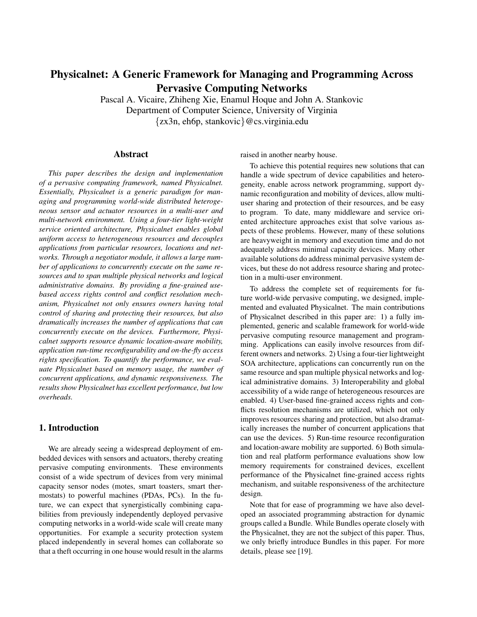# Physicalnet: A Generic Framework for Managing and Programming Across Pervasive Computing Networks

Pascal A. Vicaire, Zhiheng Xie, Enamul Hoque and John A. Stankovic Department of Computer Science, University of Virginia {zx3n, eh6p, stankovic}@cs.virginia.edu

# Abstract

*This paper describes the design and implementation of a pervasive computing framework, named Physicalnet. Essentially, Physicalnet is a generic paradigm for managing and programming world-wide distributed heterogeneous sensor and actuator resources in a multi-user and multi-network environment. Using a four-tier light-weight service oriented architecture, Physicalnet enables global uniform access to heterogeneous resources and decouples applications from particular resources, locations and networks. Through a negotiator module, it allows a large number of applications to concurrently execute on the same resources and to span multiple physical networks and logical administrative domains. By providing a fine-grained usebased access rights control and conflict resolution mechanism, Physicalnet not only ensures owners having total control of sharing and protecting their resources, but also dramatically increases the number of applications that can concurrently execute on the devices. Furthermore, Physicalnet supports resource dynamic location-aware mobility, application run-time reconfigurability and on-the-fly access rights specification. To quantify the performance, we evaluate Physicalnet based on memory usage, the number of concurrent applications, and dynamic responsiveness. The results show Physicalnet has excellent performance, but low overheads.*

## 1. Introduction

We are already seeing a widespread deployment of embedded devices with sensors and actuators, thereby creating pervasive computing environments. These environments consist of a wide spectrum of devices from very minimal capacity sensor nodes (motes, smart toasters, smart thermostats) to powerful machines (PDAs, PCs). In the future, we can expect that synergistically combining capabilities from previously independently deployed pervasive computing networks in a world-wide scale will create many opportunities. For example a security protection system placed independently in several homes can collaborate so that a theft occurring in one house would result in the alarms raised in another nearby house.

To achieve this potential requires new solutions that can handle a wide spectrum of device capabilities and heterogeneity, enable across network programming, support dynamic reconfiguration and mobility of devices, allow multiuser sharing and protection of their resources, and be easy to program. To date, many middleware and service oriented architecture approaches exist that solve various aspects of these problems. However, many of these solutions are heavyweight in memory and execution time and do not adequately address minimal capacity devices. Many other available solutions do address minimal pervasive system devices, but these do not address resource sharing and protection in a multi-user environment.

To address the complete set of requirements for future world-wide pervasive computing, we designed, implemented and evaluated Physicalnet. The main contributions of Physicalnet described in this paper are: 1) a fully implemented, generic and scalable framework for world-wide pervasive computing resource management and programming. Applications can easily involve resources from different owners and networks. 2) Using a four-tier lightweight SOA architecture, applications can concurrently run on the same resource and span multiple physical networks and logical administrative domains. 3) Interoperability and global accessibility of a wide range of heterogeneous resources are enabled. 4) User-based fine-grained access rights and conflicts resolution mechanisms are utilized, which not only improves resources sharing and protection, but also dramatically increases the number of concurrent applications that can use the devices. 5) Run-time resource reconfiguration and location-aware mobility are supported. 6) Both simulation and real platform performance evaluations show low memory requirements for constrained devices, excellent performance of the Physicalnet fine-grained access rights mechanism, and suitable responsiveness of the architecture design.

Note that for ease of programming we have also developed an associated programming abstraction for dynamic groups called a Bundle. While Bundles operate closely with the Physicalnet, they are not the subject of this paper. Thus, we only briefly introduce Bundles in this paper. For more details, please see [19].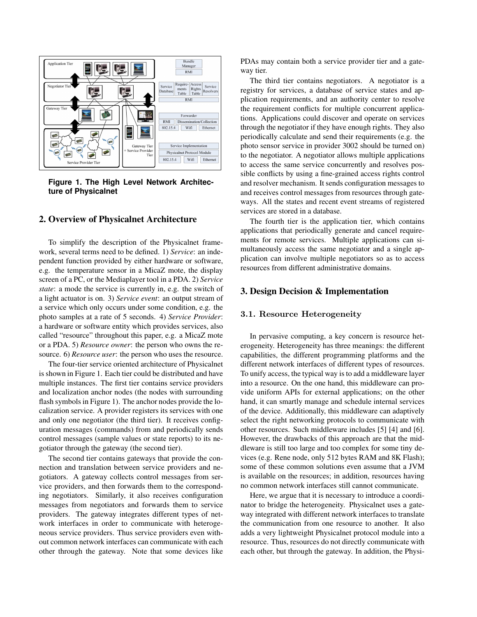

**Figure 1. The High Level Network Architecture of Physicalnet**

### 2. Overview of Physicalnet Architecture

To simplify the description of the Physicalnet framework, several terms need to be defined. 1) *Service*: an independent function provided by either hardware or software, e.g. the temperature sensor in a MicaZ mote, the display screen of a PC, or the Mediaplayer tool in a PDA. 2) *Service state*: a mode the service is currently in, e.g. the switch of a light actuator is on. 3) *Service event*: an output stream of a service which only occurs under some condition, e.g. the photo samples at a rate of 5 seconds. 4) *Service Provider*: a hardware or software entity which provides services, also called "resource" throughout this paper, e.g. a MicaZ mote or a PDA. 5) *Resource owner*: the person who owns the resource. 6) *Resource user*: the person who uses the resource.

The four-tier service oriented architecture of Physicalnet is shown in Figure 1. Each tier could be distributed and have multiple instances. The first tier contains service providers and localization anchor nodes (the nodes with surrounding flash symbols in Figure 1). The anchor nodes provide the localization service. A provider registers its services with one and only one negotiator (the third tier). It receives configuration messages (commands) from and periodically sends control messages (sample values or state reports) to its negotiator through the gateway (the second tier).

The second tier contains gateways that provide the connection and translation between service providers and negotiators. A gateway collects control messages from service providers, and then forwards them to the corresponding negotiators. Similarly, it also receives configuration messages from negotiators and forwards them to service providers. The gateway integrates different types of network interfaces in order to communicate with heterogeneous service providers. Thus service providers even without common network interfaces can communicate with each other through the gateway. Note that some devices like PDAs may contain both a service provider tier and a gateway tier.

The third tier contains negotiators. A negotiator is a registry for services, a database of service states and application requirements, and an authority center to resolve the requirement conflicts for multiple concurrent applications. Applications could discover and operate on services through the negotiator if they have enough rights. They also periodically calculate and send their requirements (e.g. the photo sensor service in provider 3002 should be turned on) to the negotiator. A negotiator allows multiple applications to access the same service concurrently and resolves possible conflicts by using a fine-grained access rights control and resolver mechanism. It sends configuration messages to and receives control messages from resources through gateways. All the states and recent event streams of registered services are stored in a database.

The fourth tier is the application tier, which contains applications that periodically generate and cancel requirements for remote services. Multiple applications can simultaneously access the same negotiator and a single application can involve multiple negotiators so as to access resources from different administrative domains.

### 3. Design Decision & Implementation

#### 3.1. Resource Heterogeneity

In pervasive computing, a key concern is resource heterogeneity. Heterogeneity has three meanings: the different capabilities, the different programming platforms and the different network interfaces of different types of resources. To unify access, the typical way is to add a middleware layer into a resource. On the one hand, this middleware can provide uniform APIs for external applications; on the other hand, it can smartly manage and schedule internal services of the device. Additionally, this middleware can adaptively select the right networking protocols to communicate with other resources. Such middleware includes [5] [4] and [6]. However, the drawbacks of this approach are that the middleware is still too large and too complex for some tiny devices (e.g. Rene node, only 512 bytes RAM and 8K Flash); some of these common solutions even assume that a JVM is available on the resources; in addition, resources having no common network interfaces still cannot communicate.

Here, we argue that it is necessary to introduce a coordinator to bridge the heterogeneity. Physicalnet uses a gateway integrated with different network interfaces to translate the communication from one resource to another. It also adds a very lightweight Physicalnet protocol module into a resource. Thus, resources do not directly communicate with each other, but through the gateway. In addition, the Physi-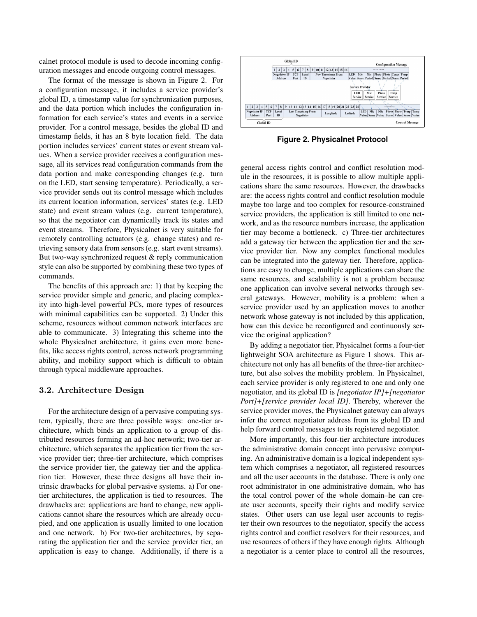calnet protocol module is used to decode incoming configuration messages and encode outgoing control messages.

The format of the message is shown in Figure 2. For a configuration message, it includes a service provider's global ID, a timestamp value for synchronization purposes, and the data portion which includes the configuration information for each service's states and events in a service provider. For a control message, besides the global ID and timestamp fields, it has an 8 byte location field. The data portion includes services' current states or event stream values. When a service provider receives a configuration message, all its services read configuration commands from the data portion and make corresponding changes (e.g. turn on the LED, start sensing temperature). Periodically, a service provider sends out its control message which includes its current location information, services' states (e.g. LED state) and event stream values (e.g. current temperature), so that the negotiator can dynamically track its states and event streams. Therefore, Physicalnet is very suitable for remotely controlling actuators (e.g. change states) and retrieving sensory data from sensors (e.g. start event streams). But two-way synchronized request & reply communication style can also be supported by combining these two types of commands.

The benefits of this approach are: 1) that by keeping the service provider simple and generic, and placing complexity into high-level powerful PCs, more types of resources with minimal capabilities can be supported. 2) Under this scheme, resources without common network interfaces are able to communicate. 3) Integrating this scheme into the whole Physicalnet architecture, it gains even more benefits, like access rights control, across network programming ability, and mobility support which is difficult to obtain through typical middleware approaches.

### 3.2. Architecture Design

For the architecture design of a pervasive computing system, typically, there are three possible ways: one-tier architecture, which binds an application to a group of distributed resources forming an ad-hoc network; two-tier architecture, which separates the application tier from the service provider tier; three-tier architecture, which comprises the service provider tier, the gateway tier and the application tier. However, these three designs all have their intrinsic drawbacks for global pervasive systems. a) For onetier architectures, the application is tied to resources. The drawbacks are: applications are hard to change, new applications cannot share the resources which are already occupied, and one application is usually limited to one location and one network. b) For two-tier architectures, by separating the application tier and the service provider tier, an application is easy to change. Additionally, if there is a



**Figure 2. Physicalnet Protocol**

general access rights control and conflict resolution module in the resources, it is possible to allow multiple applications share the same resources. However, the drawbacks are: the access rights control and conflict resolution module maybe too large and too complex for resource-constrained service providers, the application is still limited to one network, and as the resource numbers increase, the application tier may become a bottleneck. c) Three-tier architectures add a gateway tier between the application tier and the service provider tier. Now any complex functional modules can be integrated into the gateway tier. Therefore, applications are easy to change, multiple applications can share the same resources, and scalability is not a problem because one application can involve several networks through several gateways. However, mobility is a problem: when a service provider used by an application moves to another network whose gateway is not included by this application, how can this device be reconfigured and continuously service the original application?

By adding a negotiator tier, Physicalnet forms a four-tier lightweight SOA architecture as Figure 1 shows. This architecture not only has all benefits of the three-tier architecture, but also solves the mobility problem. In Physicalnet, each service provider is only registered to one and only one negotiator, and its global ID is *[negotiator IP]+[negotiator Port]+[service provider local ID]*. Thereby, wherever the service provider moves, the Physicalnet gateway can always infer the correct negotiator address from its global ID and help forward control messages to its registered negotiator.

More importantly, this four-tier architecture introduces the administrative domain concept into pervasive computing. An administrative domain is a logical independent system which comprises a negotiator, all registered resources and all the user accounts in the database. There is only one root administrator in one administrative domain, who has the total control power of the whole domain–he can create user accounts, specify their rights and modify service states. Other users can use legal user accounts to register their own resources to the negotiator, specify the access rights control and conflict resolvers for their resources, and use resources of others if they have enough rights. Although a negotiator is a center place to control all the resources,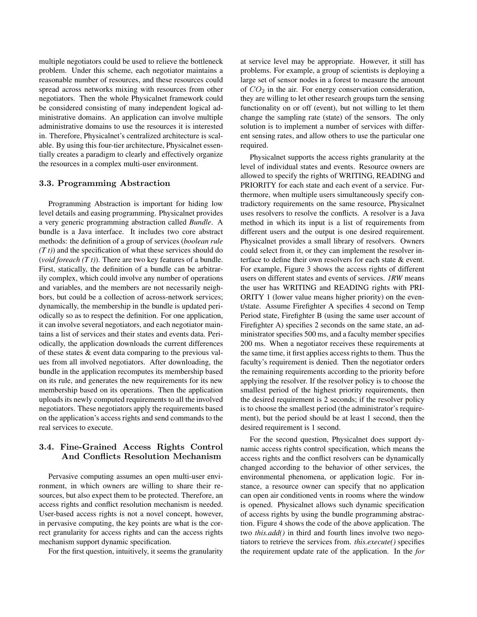multiple negotiators could be used to relieve the bottleneck problem. Under this scheme, each negotiator maintains a reasonable number of resources, and these resources could spread across networks mixing with resources from other negotiators. Then the whole Physicalnet framework could be considered consisting of many independent logical administrative domains. An application can involve multiple administrative domains to use the resources it is interested in. Therefore, Physicalnet's centralized architecture is scalable. By using this four-tier architecture, Physicalnet essentially creates a paradigm to clearly and effectively organize the resources in a complex multi-user environment.

### 3.3. Programming Abstraction

Programming Abstraction is important for hiding low level details and easing programming. Physicalnet provides a very generic programming abstraction called *Bundle*. A bundle is a Java interface. It includes two core abstract methods: the definition of a group of services (*boolean rule (T t)*) and the specification of what these services should do (*void foreach (T t)*). There are two key features of a bundle. First, statically, the definition of a bundle can be arbitrarily complex, which could involve any number of operations and variables, and the members are not necessarily neighbors, but could be a collection of across-network services; dynamically, the membership in the bundle is updated periodically so as to respect the definition. For one application, it can involve several negotiators, and each negotiator maintains a list of services and their states and events data. Periodically, the application downloads the current differences of these states & event data comparing to the previous values from all involved negotiators. After downloading, the bundle in the application recomputes its membership based on its rule, and generates the new requirements for its new membership based on its operations. Then the application uploads its newly computed requirements to all the involved negotiators. These negotiators apply the requirements based on the application's access rights and send commands to the real services to execute.

# 3.4. Fine-Grained Access Rights Control And Conflicts Resolution Mechanism

Pervasive computing assumes an open multi-user environment, in which owners are willing to share their resources, but also expect them to be protected. Therefore, an access rights and conflict resolution mechanism is needed. User-based access rights is not a novel concept, however, in pervasive computing, the key points are what is the correct granularity for access rights and can the access rights mechanism support dynamic specification.

For the first question, intuitively, it seems the granularity

at service level may be appropriate. However, it still has problems. For example, a group of scientists is deploying a large set of sensor nodes in a forest to measure the amount of  $CO<sub>2</sub>$  in the air. For energy conservation consideration, they are willing to let other research groups turn the sensing functionality on or off (event), but not willing to let them change the sampling rate (state) of the sensors. The only solution is to implement a number of services with different sensing rates, and allow others to use the particular one required.

Physicalnet supports the access rights granularity at the level of individual states and events. Resource owners are allowed to specify the rights of WRITING, READING and PRIORITY for each state and each event of a service. Furthermore, when multiple users simultaneously specify contradictory requirements on the same resource, Physicalnet uses resolvers to resolve the conflicts. A resolver is a Java method in which its input is a list of requirements from different users and the output is one desired requirement. Physicalnet provides a small library of resolvers. Owners could select from it, or they can implement the resolver interface to define their own resolvers for each state & event. For example, Figure 3 shows the access rights of different users on different states and events of services. *1RW* means the user has WRITING and READING rights with PRI-ORITY 1 (lower value means higher priority) on the event/state. Assume Firefighter A specifies 4 second on Temp Period state, Firefighter B (using the same user account of Firefighter A) specifies 2 seconds on the same state, an administrator specifies 500 ms, and a faculty member specifies 200 ms. When a negotiator receives these requirements at the same time, it first applies access rights to them. Thus the faculty's requirement is denied. Then the negotiator orders the remaining requirements according to the priority before applying the resolver. If the resolver policy is to choose the smallest period of the highest priority requirements, then the desired requirement is 2 seconds; if the resolver policy is to choose the smallest period (the administrator's requirement), but the period should be at least 1 second, then the desired requirement is 1 second.

For the second question, Physicalnet does support dynamic access rights control specification, which means the access rights and the conflict resolvers can be dynamically changed according to the behavior of other services, the environmental phenomena, or application logic. For instance, a resource owner can specify that no application can open air conditioned vents in rooms where the window is opened. Physicalnet allows such dynamic specification of access rights by using the bundle programming abstraction. Figure 4 shows the code of the above application. The two *this.add()* in third and fourth lines involve two negotiators to retrieve the services from. *this.execute()* specifies the requirement update rate of the application. In the *for*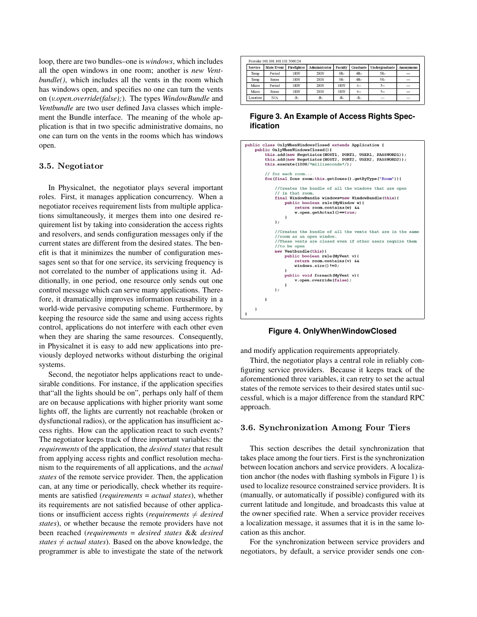loop, there are two bundles–one is *windows*, which includes all the open windows in one room; another is *new Ventbundle()*, which includes all the vents in the room which has windows open, and specifies no one can turn the vents on (*v.open.override(false);*). The types *WindowBundle* and *Ventbundle* are two user defined Java classes which implement the Bundle interface. The meaning of the whole application is that in two specific administrative domains, no one can turn on the vents in the rooms which has windows open.

#### 3.5. Negotiator

In Physicalnet, the negotiator plays several important roles. First, it manages application concurrency. When a negotiator receives requirement lists from multiple applications simultaneously, it merges them into one desired requirement list by taking into consideration the access rights and resolvers, and sends configuration messages only if the current states are different from the desired states. The benefit is that it minimizes the number of configuration messages sent so that for one service, its servicing frequency is not correlated to the number of applications using it. Additionally, in one period, one resource only sends out one control message which can serve many applications. Therefore, it dramatically improves information reusability in a world-wide pervasive computing scheme. Furthermore, by keeping the resource side the same and using access rights control, applications do not interfere with each other even when they are sharing the same resources. Consequently, in Physicalnet it is easy to add new applications into previously deployed networks without disturbing the original systems.

Second, the negotiator helps applications react to undesirable conditions. For instance, if the application specifies that"all the lights should be on", perhaps only half of them are on because applications with higher priority want some lights off, the lights are currently not reachable (broken or dysfunctional radios), or the application has insufficient access rights. How can the application react to such events? The negotiator keeps track of three important variables: the *requirements* of the application, the *desired states* that result from applying access rights and conflict resolution mechanism to the requirements of all applications, and the *actual states* of the remote service provider. Then, the application can, at any time or periodically, check whether its requirements are satisfied (*requirements* = *actual states*), whether its requirements are not satisfied because of other applications or insufficient access rights (*requirements*  $\neq$  *desired states*), or whether because the remote providers have not been reached (*requirements* = *desired states* && *desired states*  $\neq$  *actual states*). Based on the above knowledge, the programmer is able to investigate the state of the network

| <b>Service</b> | <b>State/Event</b> | Firefighter | Administrator | Faculty | Graduate | Undergraduate | <b>Anonymous</b> |
|----------------|--------------------|-------------|---------------|---------|----------|---------------|------------------|
| Temp           | Period             | 1RW         | 2RW           | $3R -$  | 4R-      | 5R-           | $- - -$          |
| Temp           | Sense              | 1RW         | 2RW           | $3R -$  | $4R -$   | $5R -$        |                  |
| Micro          | Period             | 1RW         | 2RW           | 3RW     | $4 -$    | $5 -$         | $\cdots$         |
| Micro          | Sense              | 1RW         | 2RW           | 3RW     | $4 -$    | $5 -$         | $- - -$          |
| Location       | N/A                | $-R -$      | $-R -$        | -R-     | $-R -$   | $\sim$        | 1.11             |

### **Figure 3. An Example of Access Rights Specification**



**Figure 4. OnlyWhenWindowClosed**

and modify application requirements appropriately.

Third, the negotiator plays a central role in reliably configuring service providers. Because it keeps track of the aforementioned three variables, it can retry to set the actual states of the remote services to their desired states until successful, which is a major difference from the standard RPC approach.

#### 3.6. Synchronization Among Four Tiers

This section describes the detail synchronization that takes place among the four tiers. First is the synchronization between location anchors and service providers. A localization anchor (the nodes with flashing symbols in Figure 1) is used to localize resource constrained service providers. It is (manually, or automatically if possible) configured with its current latitude and longitude, and broadcasts this value at the owner specified rate. When a service provider receives a localization message, it assumes that it is in the same location as this anchor.

For the synchronization between service providers and negotiators, by default, a service provider sends one con-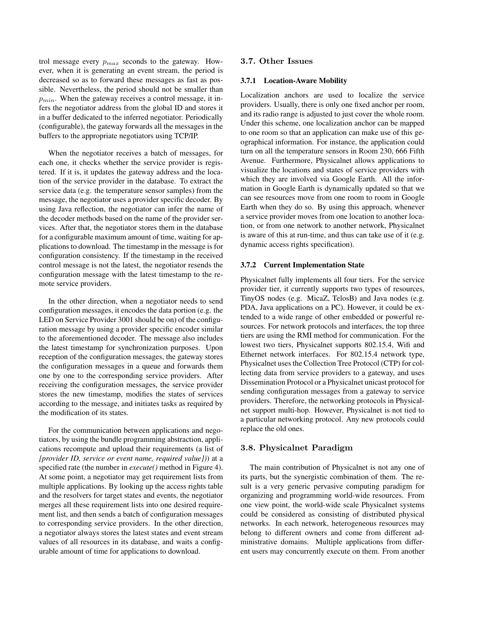trol message every  $p_{max}$  seconds to the gateway. However, when it is generating an event stream, the period is decreased so as to forward these messages as fast as possible. Nevertheless, the period should not be smaller than  $p_{min}$ . When the gateway receives a control message, it infers the negotiator address from the global ID and stores it in a buffer dedicated to the inferred negotiator. Periodically (configurable), the gateway forwards all the messages in the buffers to the appropriate negotiators using TCP/IP.

When the negotiator receives a batch of messages, for each one, it checks whether the service provider is registered. If it is, it updates the gateway address and the location of the service provider in the database. To extract the service data (e.g. the temperature sensor samples) from the message, the negotiator uses a provider specific decoder. By using Java reflection, the negotiator can infer the name of the decoder methods based on the name of the provider services. After that, the negotiator stores them in the database for a configurable maximum amount of time, waiting for applications to download. The timestamp in the message is for configuration consistency. If the timestamp in the received control message is not the latest, the negotiator resends the configuration message with the latest timestamp to the remote service providers.

In the other direction, when a negotiator needs to send configuration messages, it encodes the data portion (e.g. the LED on Service Provider 3001 should be on) of the configuration message by using a provider specific encoder similar to the aforementioned decoder. The message also includes the latest timestamp for synchronization purposes. Upon reception of the configuration messages, the gateway stores the configuration messages in a queue and forwards them one by one to the corresponding service providers. After receiving the configuration messages, the service provider stores the new timestamp, modifies the states of services according to the message, and initiates tasks as required by the modification of its states.

For the communication between applications and negotiators, by using the bundle programming abstraction, applications recompute and upload their requirements (a list of *[provider ID, service or event name, required value])*) at a specified rate (the number in *execute()* method in Figure 4). At some point, a negotiator may get requirement lists from multiple applications. By looking up the access rights table and the resolvers for target states and events, the negotiator merges all these requirement lists into one desired requirement list, and then sends a batch of configuration messages to corresponding service providers. In the other direction, a negotiator always stores the latest states and event stream values of all resources in its database, and waits a configurable amount of time for applications to download.

### 3.7. Other Issues

#### 3.7.1 Location-Aware Mobility

Localization anchors are used to localize the service providers. Usually, there is only one fixed anchor per room, and its radio range is adjusted to just cover the whole room. Under this scheme, one localization anchor can be mapped to one room so that an application can make use of this geographical information. For instance, the application could turn on all the temperature sensors in Room 230, 666 Fifth Avenue. Furthermore, Physicalnet allows applications to visualize the locations and states of service providers with which they are involved via Google Earth. All the information in Google Earth is dynamically updated so that we can see resources move from one room to room in Google Earth when they do so. By using this approach, whenever a service provider moves from one location to another location, or from one network to another network, Physicalnet is aware of this at run-time, and thus can take use of it (e.g. dynamic access rights specification).

#### 3.7.2 Current Implementation State

Physicalnet fully implements all four tiers. For the service provider tier, it currently supports two types of resources, TinyOS nodes (e.g. MicaZ, TelosB) and Java nodes (e.g. PDA, Java applications on a PC). However, it could be extended to a wide range of other embedded or powerful resources. For network protocols and interfaces, the top three tiers are using the RMI method for communication. For the lowest two tiers, Physicalnet supports 802.15.4, Wifi and Ethernet network interfaces. For 802.15.4 network type, Physicalnet uses the Collection Tree Protocol (CTP) for collecting data from service providers to a gateway, and uses Dissemination Protocol or a Physicalnet unicast protocol for sending configuration messages from a gateway to service providers. Therefore, the networking protocols in Physicalnet support multi-hop. However, Physicalnet is not tied to a particular networking protocol. Any new protocols could replace the old ones.

#### 3.8. Physicalnet Paradigm

The main contribution of Physicalnet is not any one of its parts, but the synergistic combination of them. The result is a very generic pervasive computing paradigm for organizing and programming world-wide resources. From one view point, the world-wide scale Physicalnet systems could be considered as consisting of distributed physical networks. In each network, heterogeneous resources may belong to different owners and come from different administrative domains. Multiple applications from different users may concurrently execute on them. From another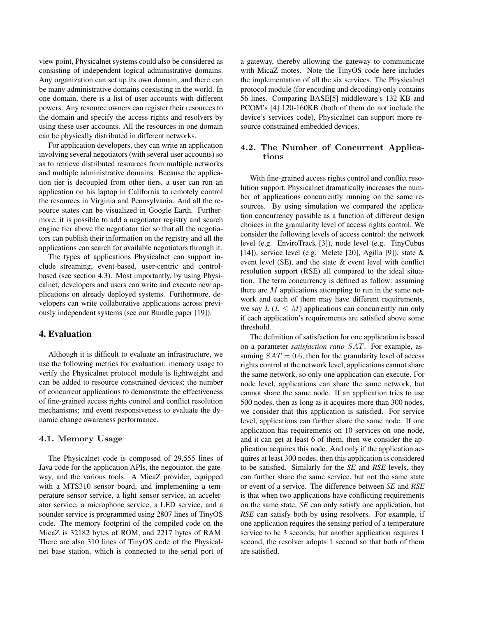view point, Physicalnet systems could also be considered as consisting of independent logical administrative domains. Any organization can set up its own domain, and there can be many administrative domains coexisting in the world. In one domain, there is a list of user accounts with different powers. Any resource owners can register their resources to the domain and specify the access rights and resolvers by using these user accounts. All the resources in one domain can be physically distributed in different networks.

For application developers, they can write an application involving several negotiators (with several user accounts) so as to retrieve distributed resources from multiple networks and multiple administrative domains. Because the application tier is decoupled from other tiers, a user can run an application on his laptop in California to remotely control the resources in Virginia and Pennsylvania. And all the resource states can be visualized in Google Earth. Furthermore, it is possible to add a negotiator registry and search engine tier above the negotiator tier so that all the negotiators can publish their information on the registry and all the applications can search for available negotiators through it.

The types of applications Physicalnet can support include streaming, event-based, user-centric and controlbased (see section 4.3). Most importantly, by using Physicalnet, developers and users can write and execute new applications on already deployed systems. Furthermore, developers can write collaborative applications across previously independent systems (see our Bundle paper [19]).

# 4. Evaluation

Although it is difficult to evaluate an infrastructure, we use the following metrics for evaluation: memory usage to verify the Physicalnet protocol module is lightweight and can be added to resource constrained devices; the number of concurrent applications to demonstrate the effectiveness of fine-grained access rights control and conflict resolution mechanisms; and event responsiveness to evaluate the dynamic change awareness performance.

#### 4.1. Memory Usage

The Physicalnet code is composed of 29,555 lines of Java code for the application APIs, the negotiator, the gateway, and the various tools. A MicaZ provider, equipped with a MTS310 sensor board, and implementing a temperature sensor service, a light sensor service, an accelerator service, a microphone service, a LED service, and a sounder service is programmed using 2807 lines of TinyOS code. The memory footprint of the compiled code on the MicaZ is 32182 bytes of ROM, and 2217 bytes of RAM. There are also 310 lines of TinyOS code of the Physicalnet base station, which is connected to the serial port of a gateway, thereby allowing the gateway to communicate with MicaZ motes. Note the TinyOS code here includes the implementation of all the six services. The Physicalnet protocol module (for encoding and decoding) only contains 56 lines. Comparing BASE[5] middleware's 132 KB and PCOM's [4] 120-160KB (both of them do not include the device's services code), Physicalnet can support more resource constrained embedded devices.

### 4.2. The Number of Concurrent Applications

With fine-grained access rights control and conflict resolution support, Physicalnet dramatically increases the number of applications concurrently running on the same resources. By using simulation we compared the application concurrency possible as a function of different design choices in the granularity level of access rights control. We consider the following levels of access control: the network level (e.g. EnviroTrack [3]), node level (e.g. TinyCubus [14]), service level (e.g. Melete [20], Agilla [9]), state & event level (SE), and the state & event level with conflict resolution support (RSE) all compared to the ideal situation. The term concurrency is defined as follow: assuming there are  $M$  applications attempting to run in the same network and each of them may have different requirements, we say  $L (L \leq M)$  applications can concurrently run only if each application's requirements are satisfied above some threshold.

The definition of satisfaction for one application is based on a parameter *satisfaction ratio* SAT. For example, assuming  $SAT = 0.6$ , then for the granularity level of access rights control at the network level, applications cannot share the same network, so only one application can execute. For node level, applications can share the same network, but cannot share the same node. If an application tries to use 500 nodes, then as long as it acquires more than 300 nodes, we consider that this application is satisfied. For service level, applications can further share the same node. If one application has requirements on 10 services on one node, and it can get at least 6 of them, then we consider the application acquires this node. And only if the application acquires at least 300 nodes, then this application is considered to be satisfied. Similarly for the *SE* and *RSE* levels, they can further share the same service, but not the same state or event of a service. The difference between *SE* and *RSE* is that when two applications have conflicting requirements on the same state, *SE* can only satisfy one application, but *RSE* can satisfy both by using resolvers. For example, if one application requires the sensing period of a temperature service to be 3 seconds, but another application requires 1 second, the resolver adopts 1 second so that both of them are satisfied.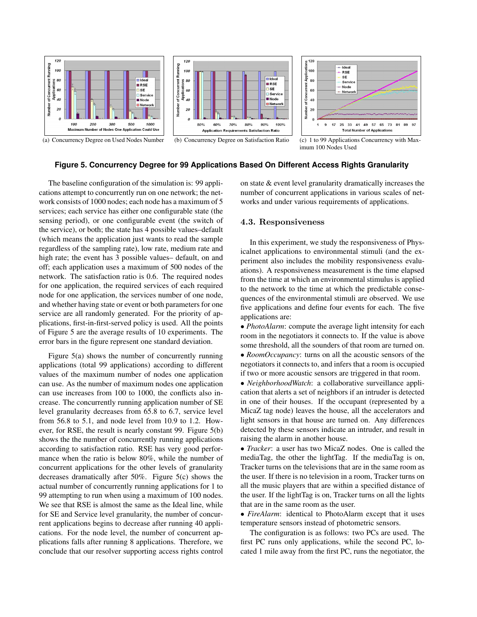

imum 100 Nodes Used

#### **Figure 5. Concurrency Degree for 99 Applications Based On Different Access Rights Granularity**

The baseline configuration of the simulation is: 99 applications attempt to concurrently run on one network; the network consists of 1000 nodes; each node has a maximum of 5 services; each service has either one configurable state (the sensing period), or one configurable event (the switch of the service), or both; the state has 4 possible values–default (which means the application just wants to read the sample regardless of the sampling rate), low rate, medium rate and high rate; the event has 3 possible values– default, on and off; each application uses a maximum of 500 nodes of the network. The satisfaction ratio is 0.6. The required nodes for one application, the required services of each required node for one application, the services number of one node, and whether having state or event or both parameters for one service are all randomly generated. For the priority of applications, first-in-first-served policy is used. All the points of Figure 5 are the average results of 10 experiments. The error bars in the figure represent one standard deviation.

Figure 5(a) shows the number of concurrently running applications (total 99 applications) according to different values of the maximum number of nodes one application can use. As the number of maximum nodes one application can use increases from 100 to 1000, the conflicts also increase. The concurrently running application number of SE level granularity decreases from 65.8 to 6.7, service level from 56.8 to 5.1, and node level from 10.9 to 1.2. However, for RSE, the result is nearly constant 99. Figure 5(b) shows the the number of concurrently running applications according to satisfaction ratio. RSE has very good performance when the ratio is below 80%, while the number of concurrent applications for the other levels of granularity decreases dramatically after 50%. Figure 5(c) shows the actual number of concurrently running applications for 1 to 99 attempting to run when using a maximum of 100 nodes. We see that RSE is almost the same as the Ideal line, while for SE and Service level granularity, the number of concurrent applications begins to decrease after running 40 applications. For the node level, the number of concurrent applications falls after running 8 applications. Therefore, we conclude that our resolver supporting access rights control

on state & event level granularity dramatically increases the number of concurrent applications in various scales of networks and under various requirements of applications.

#### 4.3. Responsiveness

In this experiment, we study the responsiveness of Physicalnet applications to environmental stimuli (and the experiment also includes the mobility responsiveness evaluations). A responsiveness measurement is the time elapsed from the time at which an environmental stimulus is applied to the network to the time at which the predictable consequences of the environmental stimuli are observed. We use five applications and define four events for each. The five applications are:

• *PhotoAlarm*: compute the average light intensity for each room in the negotiators it connects to. If the value is above some threshold, all the sounders of that room are turned on. • *RoomOccupancy*: turns on all the acoustic sensors of the

negotiators it connects to, and infers that a room is occupied if two or more acoustic sensors are triggered in that room.

• *NeighborhoodWatch*: a collaborative surveillance application that alerts a set of neighbors if an intruder is detected in one of their houses. If the occupant (represented by a MicaZ tag node) leaves the house, all the accelerators and light sensors in that house are turned on. Any differences detected by these sensors indicate an intruder, and result in raising the alarm in another house.

• *Tracker*: a user has two MicaZ nodes. One is called the mediaTag, the other the lightTag. If the mediaTag is on, Tracker turns on the televisions that are in the same room as the user. If there is no television in a room, Tracker turns on all the music players that are within a specified distance of the user. If the lightTag is on, Tracker turns on all the lights that are in the same room as the user.

• *FireAlarm*: identical to PhotoAlarm except that it uses temperature sensors instead of photometric sensors.

The configuration is as follows: two PCs are used. The first PC runs only applications, while the second PC, located 1 mile away from the first PC, runs the negotiator, the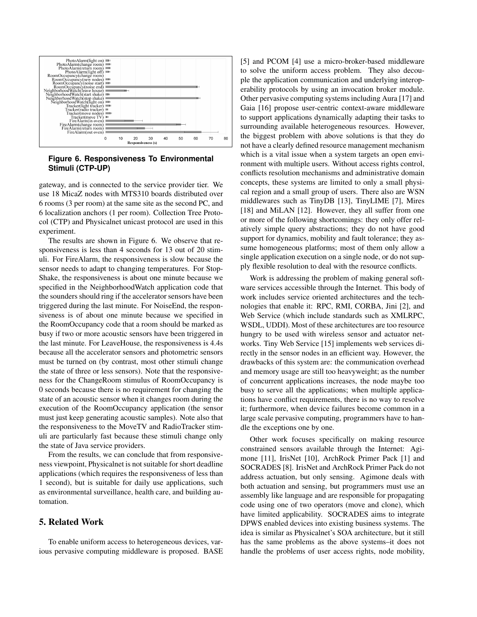

**Figure 6. Responsiveness To Environmental Stimuli (CTP-UP)**

gateway, and is connected to the service provider tier. We use 18 MicaZ nodes with MTS310 boards distributed over 6 rooms (3 per room) at the same site as the second PC, and 6 localization anchors (1 per room). Collection Tree Protocol (CTP) and Physicalnet unicast protocol are used in this experiment.

The results are shown in Figure 6. We observe that responsiveness is less than 4 seconds for 13 out of 20 stimuli. For FireAlarm, the responsiveness is slow because the sensor needs to adapt to changing temperatures. For Stop-Shake, the responsiveness is about one minute because we specified in the NeighborhoodWatch application code that the sounders should ring if the accelerator sensors have been triggered during the last minute. For NoiseEnd, the responsiveness is of about one minute because we specified in the RoomOccupancy code that a room should be marked as busy if two or more acoustic sensors have been triggered in the last minute. For LeaveHouse, the responsiveness is 4.4s because all the accelerator sensors and photometric sensors must be turned on (by contrast, most other stimuli change the state of three or less sensors). Note that the responsiveness for the ChangeRoom stimulus of RoomOccupancy is 0 seconds because there is no requirement for changing the state of an acoustic sensor when it changes room during the execution of the RoomOccupancy application (the sensor must just keep generating acoustic samples). Note also that the responsiveness to the MoveTV and RadioTracker stimuli are particularly fast because these stimuli change only the state of Java service providers.

From the results, we can conclude that from responsiveness viewpoint, Physicalnet is not suitable for short deadline applications (which requires the responsiveness of less than 1 second), but is suitable for daily use applications, such as environmental surveillance, health care, and building automation.

# 5. Related Work

To enable uniform access to heterogeneous devices, various pervasive computing middleware is proposed. BASE [5] and PCOM [4] use a micro-broker-based middleware to solve the uniform access problem. They also decouple the application communication and underlying interoperability protocols by using an invocation broker module. Other pervasive computing systems including Aura [17] and Gaia [16] propose user-centric context-aware middleware to support applications dynamically adapting their tasks to surrounding available heterogeneous resources. However, the biggest problem with above solutions is that they do not have a clearly defined resource management mechanism which is a vital issue when a system targets an open environment with multiple users. Without access rights control, conflicts resolution mechanisms and administrative domain concepts, these systems are limited to only a small physical region and a small group of users. There also are WSN middlewares such as TinyDB [13], TinyLIME [7], Mires [18] and MiLAN [12]. However, they all suffer from one or more of the following shortcomings: they only offer relatively simple query abstractions; they do not have good support for dynamics, mobility and fault tolerance; they assume homogeneous platforms; most of them only allow a single application execution on a single node, or do not supply flexible resolution to deal with the resource conflicts.

Work is addressing the problem of making general software services accessible through the Internet. This body of work includes service oriented architectures and the technologies that enable it: RPC, RMI, CORBA, Jini [2], and Web Service (which include standards such as XMLRPC, WSDL, UDDI). Most of these architectures are too resource hungry to be used with wireless sensor and actuator networks. Tiny Web Service [15] implements web services directly in the sensor nodes in an efficient way. However, the drawbacks of this system are: the communication overhead and memory usage are still too heavyweight; as the number of concurrent applications increases, the node maybe too busy to serve all the applications; when multiple applications have conflict requirements, there is no way to resolve it; furthermore, when device failures become common in a large scale pervasive computing, programmers have to handle the exceptions one by one.

Other work focuses specifically on making resource constrained sensors available through the Internet: Agimone [11], IrisNet [10], ArchRock Primer Pack [1] and SOCRADES [8]. IrisNet and ArchRock Primer Pack do not address actuation, but only sensing. Agimone deals with both actuation and sensing, but programmers must use an assembly like language and are responsible for propagating code using one of two operators (move and clone), which have limited applicability. SOCRADES aims to integrate DPWS enabled devices into existing business systems. The idea is similar as Physicalnet's SOA architecture, but it still has the same problems as the above systems–it does not handle the problems of user access rights, node mobility,